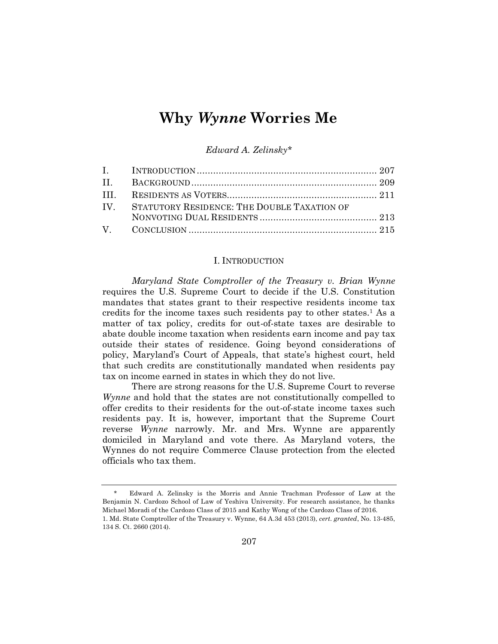# **Why** *Wynne* **Worries Me**

*Edward A. Zelinsky\**

| IV. STATUTORY RESIDENCE: THE DOUBLE TAXATION OF |  |
|-------------------------------------------------|--|
|                                                 |  |
|                                                 |  |

#### I. INTRODUCTION

*Maryland State Comptroller of the Treasury v. Brian Wynne* requires the U.S. Supreme Court to decide if the U.S. Constitution mandates that states grant to their respective residents income tax credits for the income taxes such residents pay to other states.<sup>1</sup> As a matter of tax policy, credits for out-of-state taxes are desirable to abate double income taxation when residents earn income and pay tax outside their states of residence. Going beyond considerations of policy, Maryland's Court of Appeals, that state's highest court, held that such credits are constitutionally mandated when residents pay tax on income earned in states in which they do not live.

There are strong reasons for the U.S. Supreme Court to reverse *Wynne* and hold that the states are not constitutionally compelled to offer credits to their residents for the out-of-state income taxes such residents pay. It is, however, important that the Supreme Court reverse *Wynne* narrowly. Mr. and Mrs. Wynne are apparently domiciled in Maryland and vote there. As Maryland voters, the Wynnes do not require Commerce Clause protection from the elected officials who tax them.

<sup>\*</sup> Edward A. Zelinsky is the Morris and Annie Trachman Professor of Law at the Benjamin N. Cardozo School of Law of Yeshiva University. For research assistance, he thanks Michael Moradi of the Cardozo Class of 2015 and Kathy Wong of the Cardozo Class of 2016. 1. Md. State Comptroller of the Treasury v. Wynne, 64 A.3d 453 (2013), *cert. granted*, No. 13-485, 134 S. Ct. 2660 (2014).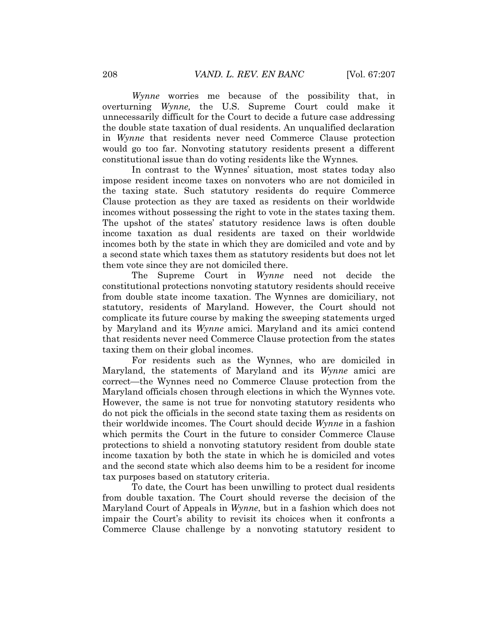*Wynne* worries me because of the possibility that, in overturning *Wynne,* the U.S. Supreme Court could make it unnecessarily difficult for the Court to decide a future case addressing the double state taxation of dual residents. An unqualified declaration in *Wynne* that residents never need Commerce Clause protection would go too far. Nonvoting statutory residents present a different constitutional issue than do voting residents like the Wynnes*.*

In contrast to the Wynnes' situation, most states today also impose resident income taxes on nonvoters who are not domiciled in the taxing state. Such statutory residents do require Commerce Clause protection as they are taxed as residents on their worldwide incomes without possessing the right to vote in the states taxing them. The upshot of the states' statutory residence laws is often double income taxation as dual residents are taxed on their worldwide incomes both by the state in which they are domiciled and vote and by a second state which taxes them as statutory residents but does not let them vote since they are not domiciled there.

The Supreme Court in *Wynne* need not decide the constitutional protections nonvoting statutory residents should receive from double state income taxation. The Wynnes are domiciliary, not statutory, residents of Maryland. However, the Court should not complicate its future course by making the sweeping statements urged by Maryland and its *Wynne* amici. Maryland and its amici contend that residents never need Commerce Clause protection from the states taxing them on their global incomes.

For residents such as the Wynnes, who are domiciled in Maryland, the statements of Maryland and its *Wynne* amici are correct—the Wynnes need no Commerce Clause protection from the Maryland officials chosen through elections in which the Wynnes vote. However, the same is not true for nonvoting statutory residents who do not pick the officials in the second state taxing them as residents on their worldwide incomes. The Court should decide *Wynne* in a fashion which permits the Court in the future to consider Commerce Clause protections to shield a nonvoting statutory resident from double state income taxation by both the state in which he is domiciled and votes and the second state which also deems him to be a resident for income tax purposes based on statutory criteria.

To date, the Court has been unwilling to protect dual residents from double taxation. The Court should reverse the decision of the Maryland Court of Appeals in *Wynne*, but in a fashion which does not impair the Court's ability to revisit its choices when it confronts a Commerce Clause challenge by a nonvoting statutory resident to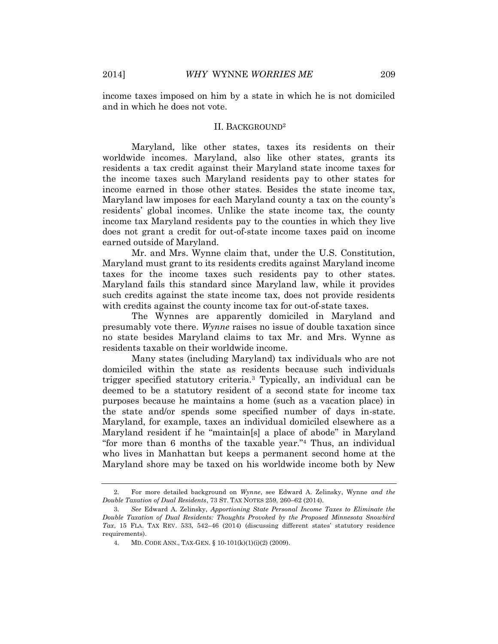income taxes imposed on him by a state in which he is not domiciled and in which he does not vote.

#### II. BACKGROUND<sup>2</sup>

Maryland, like other states, taxes its residents on their worldwide incomes. Maryland, also like other states, grants its residents a tax credit against their Maryland state income taxes for the income taxes such Maryland residents pay to other states for income earned in those other states. Besides the state income tax, Maryland law imposes for each Maryland county a tax on the county's residents' global incomes. Unlike the state income tax, the county income tax Maryland residents pay to the counties in which they live does not grant a credit for out-of-state income taxes paid on income earned outside of Maryland.

Mr. and Mrs. Wynne claim that, under the U.S. Constitution, Maryland must grant to its residents credits against Maryland income taxes for the income taxes such residents pay to other states. Maryland fails this standard since Maryland law, while it provides such credits against the state income tax, does not provide residents with credits against the county income tax for out-of-state taxes.

The Wynnes are apparently domiciled in Maryland and presumably vote there. *Wynne* raises no issue of double taxation since no state besides Maryland claims to tax Mr. and Mrs. Wynne as residents taxable on their worldwide income.

Many states (including Maryland) tax individuals who are not domiciled within the state as residents because such individuals trigger specified statutory criteria.<sup>3</sup> Typically, an individual can be deemed to be a statutory resident of a second state for income tax purposes because he maintains a home (such as a vacation place) in the state and/or spends some specified number of days in-state. Maryland, for example, taxes an individual domiciled elsewhere as a Maryland resident if he "maintain[s] a place of abode" in Maryland "for more than 6 months of the taxable year." <sup>4</sup> Thus, an individual who lives in Manhattan but keeps a permanent second home at the Maryland shore may be taxed on his worldwide income both by New

<sup>2.</sup> For more detailed background on *Wynne*, see Edward A. Zelinsky, Wynne *and the Double Taxation of Dual Residents*, 73 ST. TAX NOTES 259, 260–62 (2014).

<sup>3.</sup> *See* Edward A. Zelinsky, *Apportioning State Personal Income Taxes to Eliminate the Double Taxation of Dual Residents: Thoughts Provoked by the Proposed Minnesota Snowbird Tax*, 15 FLA. TAX REV. 533, 542–46 (2014) (discussing different states' statutory residence requirements).

<sup>4.</sup> MD. CODE ANN., TAX-GEN. § 10-101(k)(1)(i)(2) (2009).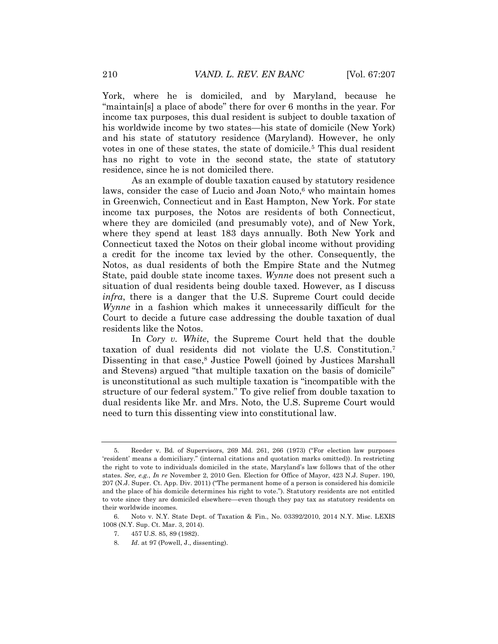York, where he is domiciled, and by Maryland, because he "maintain[s] a place of abode" there for over 6 months in the year. For income tax purposes, this dual resident is subject to double taxation of his worldwide income by two states—his state of domicile (New York) and his state of statutory residence (Maryland). However, he only votes in one of these states, the state of domicile.<sup>5</sup> This dual resident has no right to vote in the second state, the state of statutory residence, since he is not domiciled there.

As an example of double taxation caused by statutory residence laws, consider the case of Lucio and Joan Noto, <sup>6</sup> who maintain homes in Greenwich, Connecticut and in East Hampton, New York. For state income tax purposes, the Notos are residents of both Connecticut, where they are domiciled (and presumably vote), and of New York, where they spend at least 183 days annually. Both New York and Connecticut taxed the Notos on their global income without providing a credit for the income tax levied by the other. Consequently, the Notos, as dual residents of both the Empire State and the Nutmeg State, paid double state income taxes. *Wynne* does not present such a situation of dual residents being double taxed. However, as I discuss *infra*, there is a danger that the U.S. Supreme Court could decide *Wynne* in a fashion which makes it unnecessarily difficult for the Court to decide a future case addressing the double taxation of dual residents like the Notos.

In *Cory v. White*, the Supreme Court held that the double taxation of dual residents did not violate the U.S. Constitution.<sup>7</sup> Dissenting in that case, <sup>8</sup> Justice Powell (joined by Justices Marshall and Stevens) argued "that multiple taxation on the basis of domicile" is unconstitutional as such multiple taxation is "incompatible with the structure of our federal system." To give relief from double taxation to dual residents like Mr. and Mrs. Noto, the U.S. Supreme Court would need to turn this dissenting view into constitutional law.

<sup>5.</sup> Reeder v. Bd. of Supervisors, 269 Md. 261, 266 (1973) ("For election law purposes 'resident' means a domiciliary." (internal citations and quotation marks omitted)). In restricting the right to vote to individuals domiciled in the state, Maryland's law follows that of the other states. *See, e.g.*, *In re* November 2, 2010 Gen. Election for Office of Mayor, 423 N.J. Super. 190, 207 (N.J. Super. Ct. App. Div. 2011) ("The permanent home of a person is considered his domicile and the place of his domicile determines his right to vote."). Statutory residents are not entitled to vote since they are domiciled elsewhere—even though they pay tax as statutory residents on their worldwide incomes.

<sup>6.</sup> Noto v. N.Y. State Dept. of Taxation & Fin., No. 03392/2010, 2014 N.Y. Misc. LEXIS 1008 (N.Y. Sup. Ct. Mar. 3, 2014).

<sup>7.</sup> 457 U.S. 85, 89 (1982).

<sup>8.</sup> *Id*. at 97 (Powell, J., dissenting).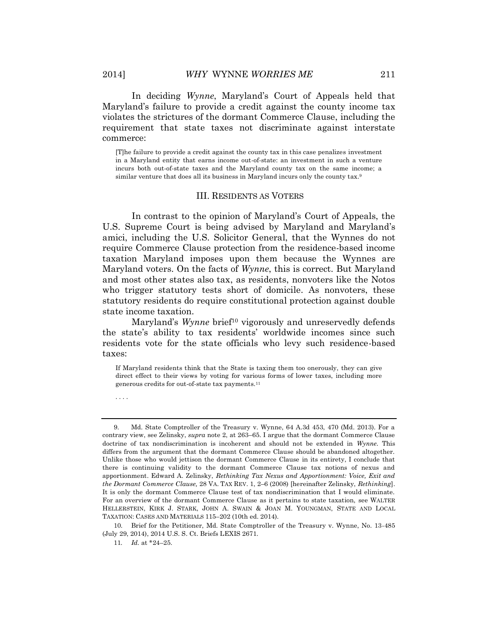In deciding *Wynne*, Maryland's Court of Appeals held that Maryland's failure to provide a credit against the county income tax violates the strictures of the dormant Commerce Clause, including the requirement that state taxes not discriminate against interstate commerce:

[T]he failure to provide a credit against the county tax in this case penalizes investment in a Maryland entity that earns income out-of-state: an investment in such a venture incurs both out-of-state taxes and the Maryland county tax on the same income; a similar venture that does all its business in Maryland incurs only the county tax.<sup>9</sup>

#### III. RESIDENTS AS VOTERS

In contrast to the opinion of Maryland's Court of Appeals, the U.S. Supreme Court is being advised by Maryland and Maryland's amici, including the U.S. Solicitor General, that the Wynnes do not require Commerce Clause protection from the residence-based income taxation Maryland imposes upon them because the Wynnes are Maryland voters. On the facts of *Wynne*, this is correct. But Maryland and most other states also tax, as residents, nonvoters like the Notos who trigger statutory tests short of domicile. As nonvoters, these statutory residents do require constitutional protection against double state income taxation.

Maryland's *Wynne* brief<sup>10</sup> vigorously and unreservedly defends the state's ability to tax residents' worldwide incomes since such residents vote for the state officials who levy such residence-based taxes:

If Maryland residents think that the State is taxing them too onerously, they can give direct effect to their views by voting for various forms of lower taxes, including more generous credits for out-of-state tax payments.<sup>11</sup>

. . . .

<sup>9.</sup> Md. State Comptroller of the Treasury v. Wynne, 64 A.3d 453, 470 (Md. 2013). For a contrary view, see Zelinsky, *supra* note 2, at 263–65. I argue that the dormant Commerce Clause doctrine of tax nondiscrimination is incoherent and should not be extended in *Wynne.* This differs from the argument that the dormant Commerce Clause should be abandoned altogether. Unlike those who would jettison the dormant Commerce Clause in its entirety, I conclude that there is continuing validity to the dormant Commerce Clause tax notions of nexus and apportionment. Edward A. Zelinsky, *Rethinking Tax Nexus and Apportionment: Voice, Exit and the Dormant Commerce Clause,* 28 VA. TAX REV. 1, 2–6 (2008) [hereinafter Zelinsky, *Rethinking*]. It is only the dormant Commerce Clause test of tax nondiscrimination that I would eliminate. For an overview of the dormant Commerce Clause as it pertains to state taxation, see WALTER HELLERSTEIN, KIRK J. STARK, JOHN A. SWAIN & JOAN M. YOUNGMAN, STATE AND LOCAL TAXATION: CASES AND MATERIALS 115–202 (10th ed. 2014).

<sup>10.</sup> Brief for the Petitioner, Md. State Comptroller of the Treasury v. Wynne, No. 13-485 (July 29, 2014), 2014 U.S. S. Ct. Briefs LEXIS 2671.

<sup>11</sup>*. Id.* at \*24–25.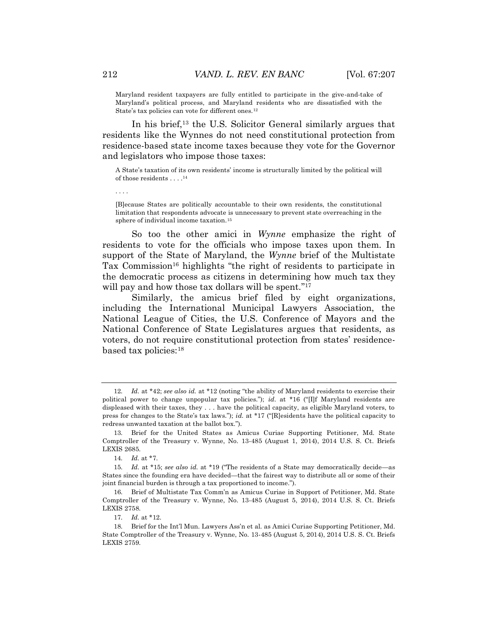Maryland resident taxpayers are fully entitled to participate in the give-and-take of Maryland's political process, and Maryland residents who are dissatisfied with the State's tax policies can vote for different ones.<sup>12</sup>

In his brief,<sup>13</sup> the U.S. Solicitor General similarly argues that residents like the Wynnes do not need constitutional protection from residence-based state income taxes because they vote for the Governor and legislators who impose those taxes:

A State's taxation of its own residents' income is structurally limited by the political will of those residents . . . . 14

. . . .

[B]ecause States are politically accountable to their own residents, the constitutional limitation that respondents advocate is unnecessary to prevent state overreaching in the sphere of individual income taxation.<sup>15</sup>

So too the other amici in *Wynne* emphasize the right of residents to vote for the officials who impose taxes upon them. In support of the State of Maryland, the *Wynne* brief of the Multistate Tax Commission<sup>16</sup> highlights "the right of residents to participate in the democratic process as citizens in determining how much tax they will pay and how those tax dollars will be spent."<sup>17</sup>

Similarly, the amicus brief filed by eight organizations, including the International Municipal Lawyers Association, the National League of Cities, the U.S. Conference of Mayors and the National Conference of State Legislatures argues that residents, as voters, do not require constitutional protection from states' residencebased tax policies:<sup>18</sup>

<sup>12.</sup> *Id.* at \*42; *see also id.* at \*12 (noting "the ability of Maryland residents to exercise their political power to change unpopular tax policies."); *id.* at \*16 ("[I]f Maryland residents are displeased with their taxes, they . . . have the political capacity, as eligible Maryland voters, to press for changes to the State's tax laws."); *id.* at \*17 ("[R]esidents have the political capacity to redress unwanted taxation at the ballot box.").

<sup>13.</sup> Brief for the United States as Amicus Curiae Supporting Petitioner, Md. State Comptroller of the Treasury v. Wynne, No. 13-485 (August 1, 2014), 2014 U.S. S. Ct. Briefs LEXIS 2685.

<sup>14.</sup> *Id.* at \*7.

<sup>15.</sup> *Id.* at \*15; *see also id.* at \*19 ("The residents of a State may democratically decide—as States since the founding era have decided—that the fairest way to distribute all or some of their joint financial burden is through a tax proportioned to income.").

<sup>16.</sup> Brief of Multistate Tax Comm'n as Amicus Curiae in Support of Petitioner, Md. State Comptroller of the Treasury v. Wynne, No. 13-485 (August 5, 2014), 2014 U.S. S. Ct. Briefs LEXIS 2758.

<sup>17.</sup> *Id.* at \*12.

<sup>18.</sup> Brief for the Int'l Mun. Lawyers Ass'n et al. as Amici Curiae Supporting Petitioner, Md. State Comptroller of the Treasury v. Wynne, No. 13-485 (August 5, 2014), 2014 U.S. S. Ct. Briefs LEXIS 2759.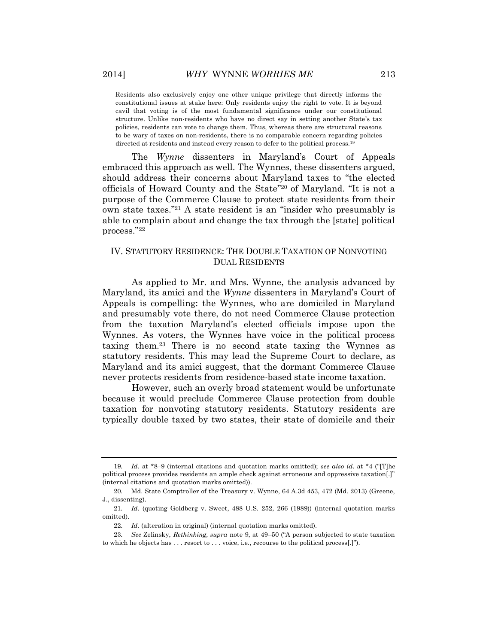Residents also exclusively enjoy one other unique privilege that directly informs the constitutional issues at stake here: Only residents enjoy the right to vote. It is beyond cavil that voting is of the most fundamental significance under our constitutional structure. Unlike non-residents who have no direct say in setting another State's tax policies, residents can vote to change them. Thus, whereas there are structural reasons to be wary of taxes on non-residents, there is no comparable concern regarding policies directed at residents and instead every reason to defer to the political process.<sup>19</sup>

The *Wynne* dissenters in Maryland's Court of Appeals embraced this approach as well. The Wynnes, these dissenters argued, should address their concerns about Maryland taxes to "the elected officials of Howard County and the State" <sup>20</sup> of Maryland. "It is not a purpose of the Commerce Clause to protect state residents from their own state taxes." <sup>21</sup> A state resident is an "insider who presumably is able to complain about and change the tax through the [state] political process." 22

## IV. STATUTORY RESIDENCE: THE DOUBLE TAXATION OF NONVOTING DUAL RESIDENTS

As applied to Mr. and Mrs. Wynne, the analysis advanced by Maryland, its amici and the *Wynne* dissenters in Maryland's Court of Appeals is compelling: the Wynnes, who are domiciled in Maryland and presumably vote there, do not need Commerce Clause protection from the taxation Maryland's elected officials impose upon the Wynnes. As voters, the Wynnes have voice in the political process taxing them.<sup>23</sup> There is no second state taxing the Wynnes as statutory residents. This may lead the Supreme Court to declare, as Maryland and its amici suggest, that the dormant Commerce Clause never protects residents from residence-based state income taxation.

However, such an overly broad statement would be unfortunate because it would preclude Commerce Clause protection from double taxation for nonvoting statutory residents. Statutory residents are typically double taxed by two states, their state of domicile and their

<sup>19.</sup> *Id.* at \*8–9 (internal citations and quotation marks omitted); *see also id.* at \*4 ("[T]he political process provides residents an ample check against erroneous and oppressive taxation[.]" (internal citations and quotation marks omitted)).

<sup>20.</sup> Md. State Comptroller of the Treasury v. Wynne, 64 A.3d 453, 472 (Md. 2013) (Greene, J., dissenting).

<sup>21.</sup> *Id.* (quoting Goldberg v. Sweet, 488 U.S. 252, 266 (1989)) (internal quotation marks omitted).

<sup>22.</sup> *Id.* (alteration in original) (internal quotation marks omitted).

<sup>23.</sup> *See* Zelinsky, *Rethinking, supra* note 9, at 49–50 ("A person subjected to state taxation to which he objects has . . . resort to . . . voice, i.e., recourse to the political process[.]").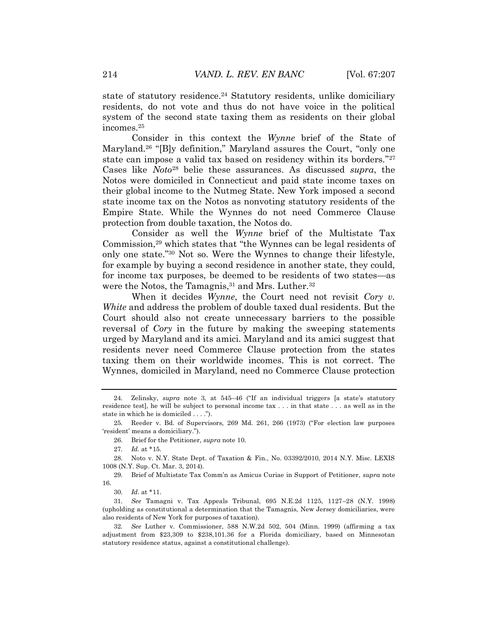state of statutory residence.<sup>24</sup> Statutory residents, unlike domiciliary residents, do not vote and thus do not have voice in the political system of the second state taxing them as residents on their global incomes.<sup>25</sup>

Consider in this context the *Wynne* brief of the State of Maryland.<sup>26</sup> "[B]y definition," Maryland assures the Court, "only one state can impose a valid tax based on residency within its borders."<sup>27</sup> Cases like *Noto*<sup>28</sup> belie these assurances. As discussed *supra*, the Notos were domiciled in Connecticut and paid state income taxes on their global income to the Nutmeg State. New York imposed a second state income tax on the Notos as nonvoting statutory residents of the Empire State. While the Wynnes do not need Commerce Clause protection from double taxation, the Notos do.

Consider as well the *Wynne* brief of the Multistate Tax Commission, <sup>29</sup> which states that "the Wynnes can be legal residents of only one state." <sup>30</sup> Not so. Were the Wynnes to change their lifestyle, for example by buying a second residence in another state, they could, for income tax purposes, be deemed to be residents of two states—as were the Notos, the Tamagnis,<sup>31</sup> and Mrs. Luther.<sup>32</sup>

When it decides *Wynne*, the Court need not revisit *Cory v. White* and address the problem of double taxed dual residents. But the Court should also not create unnecessary barriers to the possible reversal of *Cory* in the future by making the sweeping statements urged by Maryland and its amici. Maryland and its amici suggest that residents never need Commerce Clause protection from the states taxing them on their worldwide incomes. This is not correct. The Wynnes, domiciled in Maryland, need no Commerce Clause protection

26. Brief for the Petitioner, *supra* note 10.

27. *Id.* at \*15.

28. Noto v. N.Y. State Dept. of Taxation & Fin., No. 03392/2010, 2014 N.Y. Misc. LEXIS 1008 (N.Y. Sup. Ct. Mar. 3, 2014).

29. Brief of Multistate Tax Comm'n as Amicus Curiae in Support of Petitioner, *supra* note 16.

30. *Id*. at \*11.

31. *See* Tamagni v. Tax Appeals Tribunal, 695 N.E.2d 1125, 1127–28 (N.Y. 1998) (upholding as constitutional a determination that the Tamagnis, New Jersey domiciliaries, were also residents of New York for purposes of taxation).

32. *See* Luther v. Commissioner, 588 N.W.2d 502, 504 (Minn. 1999) (affirming a tax adjustment from \$23,309 to \$238,101.36 for a Florida domiciliary, based on Minnesotan statutory residence status, against a constitutional challenge).

<sup>24.</sup> Zelinsky, *supra* note 3, at 545–46 ("If an individual triggers [a state's statutory residence test], he will be subject to personal income tax . . . in that state . . . as well as in the state in which he is domiciled . . . .").

<sup>25.</sup> Reeder v. Bd. of Supervisors, 269 Md. 261, 266 (1973) ("For election law purposes 'resident' means a domiciliary.").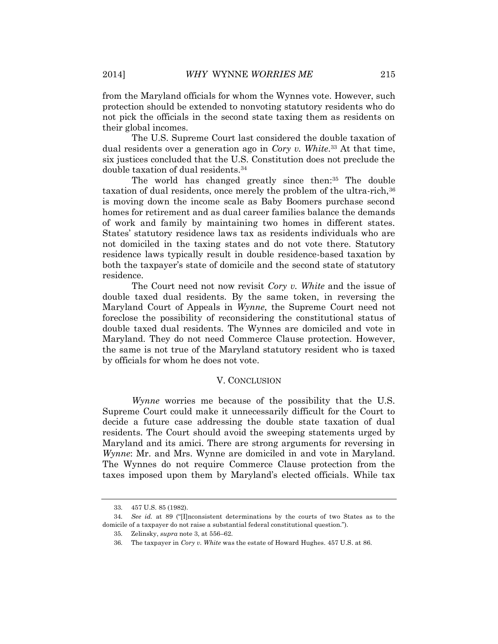from the Maryland officials for whom the Wynnes vote. However, such protection should be extended to nonvoting statutory residents who do not pick the officials in the second state taxing them as residents on their global incomes.

The U.S. Supreme Court last considered the double taxation of dual residents over a generation ago in *Cory v. White*. <sup>33</sup> At that time, six justices concluded that the U.S. Constitution does not preclude the double taxation of dual residents.<sup>34</sup>

The world has changed greatly since then: <sup>35</sup> The double taxation of dual residents, once merely the problem of the ultra-rich,<sup>36</sup> is moving down the income scale as Baby Boomers purchase second homes for retirement and as dual career families balance the demands of work and family by maintaining two homes in different states. States' statutory residence laws tax as residents individuals who are not domiciled in the taxing states and do not vote there. Statutory residence laws typically result in double residence-based taxation by both the taxpayer's state of domicile and the second state of statutory residence.

The Court need not now revisit *Cory v. White* and the issue of double taxed dual residents. By the same token, in reversing the Maryland Court of Appeals in *Wynne*, the Supreme Court need not foreclose the possibility of reconsidering the constitutional status of double taxed dual residents. The Wynnes are domiciled and vote in Maryland. They do not need Commerce Clause protection. However, the same is not true of the Maryland statutory resident who is taxed by officials for whom he does not vote.

### V. CONCLUSION

*Wynne* worries me because of the possibility that the U.S. Supreme Court could make it unnecessarily difficult for the Court to decide a future case addressing the double state taxation of dual residents. The Court should avoid the sweeping statements urged by Maryland and its amici. There are strong arguments for reversing in *Wynne*: Mr. and Mrs. Wynne are domiciled in and vote in Maryland. The Wynnes do not require Commerce Clause protection from the taxes imposed upon them by Maryland's elected officials. While tax

<sup>33.</sup> 457 U.S. 85 (1982).

<sup>34.</sup> *See id.* at 89 ("[I]nconsistent determinations by the courts of two States as to the domicile of a taxpayer do not raise a substantial federal constitutional question.").

<sup>35.</sup> Zelinsky, *supra* note 3, at 556–62.

<sup>36.</sup> The taxpayer in *Cory v. White* was the estate of Howard Hughes. 457 U.S. at 86.